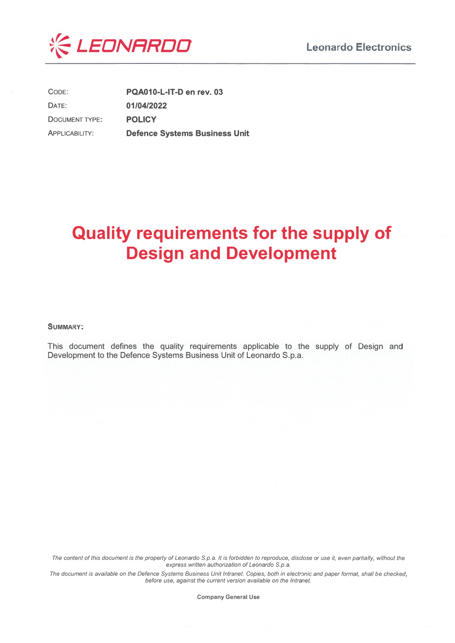



CODE: PQA010-L-IT-D en rev. 03 DATE: 01/04/2022 **POLICY DOCUMENT TYPE: APPLICABILITY: Defence Systems Business Unit** 

# **Quality requirements for the supply of Design and Development**

#### **SUMMARY:**

This document defines the quality requirements applicable to the supply of Design and Development to the Defence Systems Business Unit of Leonardo S.p.a.

The content of this document is the property of Leonardo S.p.a. It is forbidden to reproduce, disclose or use it, even partially, without the express written authorization of Leonardo S.p.a.

The document is available on the Defence Systems Business Unit Intranet. Copies, both in electronic and paper format, shall be checked, before use, against the current version available on the Intranet.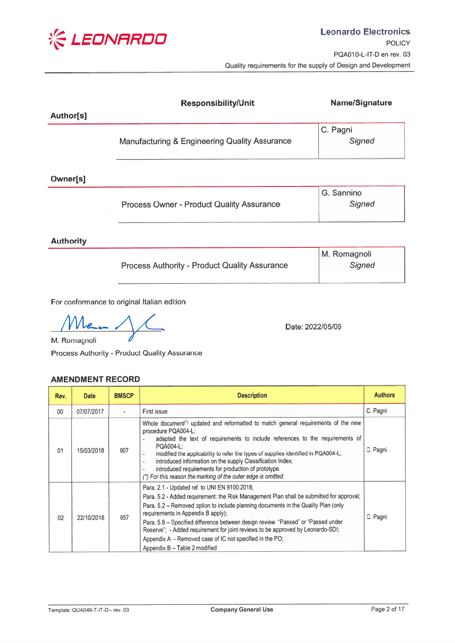

|           | <b>Responsibility/Unit</b>                    | <b>Name/Signature</b> |
|-----------|-----------------------------------------------|-----------------------|
| Author[s] |                                               |                       |
|           |                                               | C. Pagni              |
|           | Manufacturing & Engineering Quality Assurance | Signed                |
|           |                                               |                       |

Owner[s]

|                                                  | G. Sannino |
|--------------------------------------------------|------------|
| <b>Process Owner - Product Quality Assurance</b> | Signed     |
|                                                  |            |

**Authority** 

|                                                      | M. Romagnoli |
|------------------------------------------------------|--------------|
| <b>Process Authority - Product Quality Assurance</b> | Signed       |
|                                                      |              |

For conformance to original Italian edition

 $\boldsymbol{\rho}$ M. Romagnoli

Date: 2022/05/06

Process Authority - Product Quality Assurance

# **AMENDMENT RECORD**

| Rev.    | <b>Date</b> | <b>BMSCP</b> | <b>Description</b>                                                                                                                                                                                                                                                                                                                                                                                                                                                                                                                        | <b>Authors</b> |
|---------|-------------|--------------|-------------------------------------------------------------------------------------------------------------------------------------------------------------------------------------------------------------------------------------------------------------------------------------------------------------------------------------------------------------------------------------------------------------------------------------------------------------------------------------------------------------------------------------------|----------------|
| $00 \,$ | 07/07/2017  |              | First issue                                                                                                                                                                                                                                                                                                                                                                                                                                                                                                                               | C. Pagni       |
| 01      | 15/03/2018  | 007          | Whole document <sup>(*)</sup> updated and reformatted to match general requirements of the new<br>procedure PQA004-L:<br>adapted the text of requirements to include references to the requirements of<br>PQA004-L:<br>modified the applicability to refer the types of supplies identified in PQA004-L;<br>introduced information on the supply Classification Index;<br>introduced requirements for production of prototype.<br>(*) For this reason the marking of the outer edge is omitted.                                           | C. Pagni       |
| 02      | 22/10/2018  | 057          | Para. 2.1 - Updated ref. to UNI EN 9100:2018;<br>Para, 5.2 - Added requirement: the Risk Management Plan shall be submitted for approval;<br>Para. 5.2 – Removed option to include planning documents in the Quality Plan (only<br>requirements in Appendix B apply);<br>Para. 5.8 - Specified difference between design review "Passed" or "Passed under<br>Reserve"; - Added requirement for joint reviews to be approved by Leonardo-SDI;<br>Appendix A - Removed case of IC not specified in the PO;<br>Appendix B - Table 2 modified | C. Pagni       |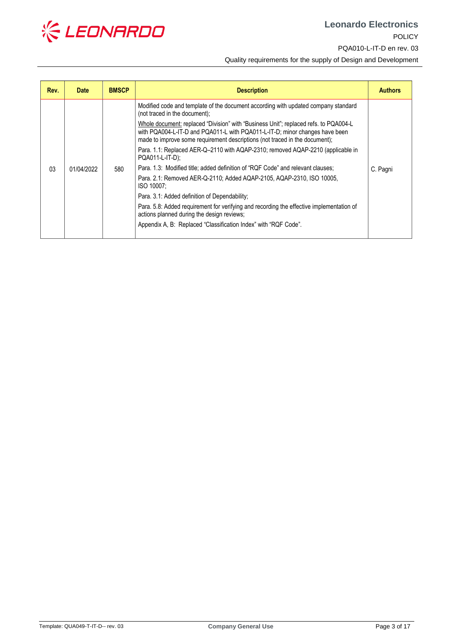

**Leonardo Electronics** [POLICY](#page--1-0) [PQA010-L-IT-D](#page--1-1) en rev. 03

[Quality requirements for the supply of Design and Development](#page--1-2)

| Rev. | <b>Date</b> | <b>BMSCP</b> | <b>Description</b>                                                                                                                                                                                                                                                                                                                                                                                                                                                                                                                                                                                                                                                                                                                                                                                                                                                                                                      | <b>Authors</b> |
|------|-------------|--------------|-------------------------------------------------------------------------------------------------------------------------------------------------------------------------------------------------------------------------------------------------------------------------------------------------------------------------------------------------------------------------------------------------------------------------------------------------------------------------------------------------------------------------------------------------------------------------------------------------------------------------------------------------------------------------------------------------------------------------------------------------------------------------------------------------------------------------------------------------------------------------------------------------------------------------|----------------|
| 03   | 01/04/2022  | 580          | Modified code and template of the document according with updated company standard<br>(not traced in the document);<br>Whole document: replaced "Division" with "Business Unit"; replaced refs. to PQA004-L<br>with PQA004-L-IT-D and PQA011-L with PQA011-L-IT-D; minor changes have been<br>made to improve some requirement descriptions (not traced in the document);<br>Para. 1.1: Replaced AER-Q-2110 with AQAP-2310; removed AQAP-2210 (applicable in<br>PQA011-L-IT-D);<br>Para. 1.3: Modified title; added definition of "RQF Code" and relevant clauses;<br>Para. 2.1: Removed AER-Q-2110; Added AQAP-2105, AQAP-2310, ISO 10005,<br>ISO 10007:<br>Para. 3.1: Added definition of Dependability;<br>Para. 5.8: Added requirement for verifying and recording the effective implementation of<br>actions planned during the design reviews;<br>Appendix A, B: Replaced "Classification Index" with "RQF Code". | C. Pagni       |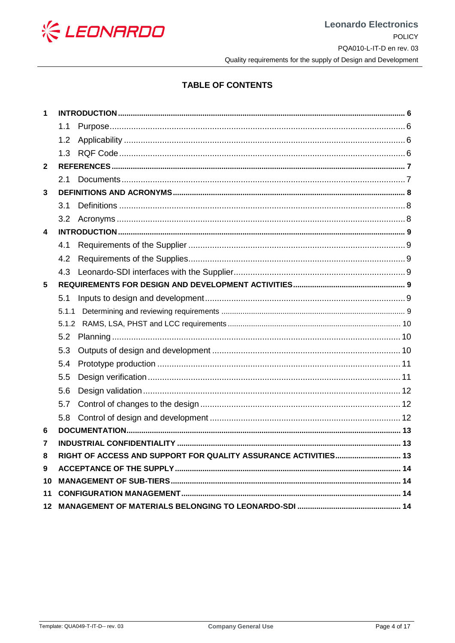

# **TABLE OF CONTENTS**

| 1                       |     |  |
|-------------------------|-----|--|
|                         | 1.1 |  |
|                         | 1.2 |  |
|                         | 1.3 |  |
| $\mathbf{2}$            |     |  |
|                         | 2.1 |  |
| 3                       |     |  |
|                         | 3.1 |  |
|                         | 3.2 |  |
| $\overline{\mathbf{4}}$ |     |  |
|                         | 4.1 |  |
|                         | 4.2 |  |
|                         | 4.3 |  |
| $5\phantom{.0}$         |     |  |
|                         | 5.1 |  |
|                         |     |  |
|                         |     |  |
|                         | 5.2 |  |
|                         | 5.3 |  |
|                         | 5.4 |  |
|                         | 5.5 |  |
|                         | 5.6 |  |
|                         | 5.7 |  |
|                         | 5.8 |  |
| 6                       |     |  |
| 7                       |     |  |
| 8                       |     |  |
| 9                       |     |  |
| 10                      |     |  |
| 11                      |     |  |
|                         |     |  |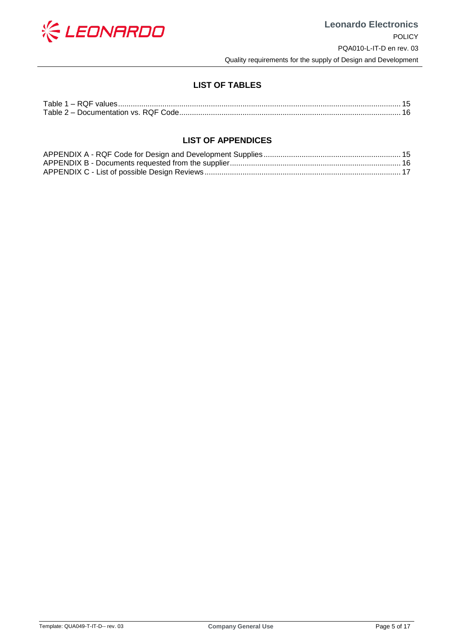

# **LIST OF TABLES**

| Table 2 - Documentation vs. RQF Code |  |
|--------------------------------------|--|

# **LIST OF APPENDICES**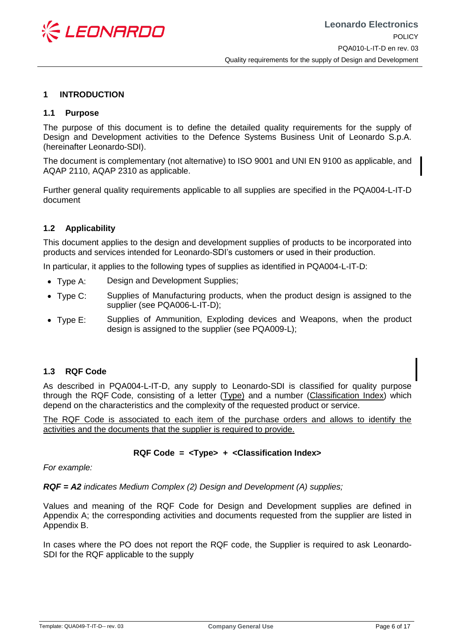

## <span id="page-5-0"></span>**1 INTRODUCTION**

## <span id="page-5-1"></span>**1.1 Purpose**

The purpose of this document is to define the detailed quality requirements for the supply of Design and Development activities to the Defence Systems Business Unit of Leonardo S.p.A. (hereinafter Leonardo-SDI).

The document is complementary (not alternative) to ISO 9001 and UNI EN 9100 as applicable, and AQAP 2110, AQAP 2310 as applicable.

Further general quality requirements applicable to all supplies are specified in the PQA004-L-IT-D document

## <span id="page-5-2"></span>**1.2 Applicability**

This document applies to the design and development supplies of products to be incorporated into products and services intended for Leonardo-SDI's customers or used in their production.

In particular, it applies to the following types of supplies as identified in PQA004-L-IT-D:

- Type A: Design and Development Supplies;
- Type C: Supplies of Manufacturing products, when the product design is assigned to the supplier (see PQA006-L-IT-D);
- Type E: Supplies of Ammunition, Exploding devices and Weapons, when the product design is assigned to the supplier (see PQA009-L);

#### <span id="page-5-3"></span>**1.3 RQF Code**

As described in PQA004-L-IT-D, any supply to Leonardo-SDI is classified for quality purpose through the RQF Code, consisting of a letter (Type) and a number (Classification Index) which depend on the characteristics and the complexity of the requested product or service.

The RQF Code is associated to each item of the purchase orders and allows to identify the activities and the documents that the supplier is required to provide.

# **RQF Code = <Type> + <Classification Index>**

*For example:*

*RQF = A2 indicates Medium Complex (2) Design and Development (A) supplies;* 

Values and meaning of the RQF Code for Design and Development supplies are defined in Appendix [A;](#page-14-2) the corresponding activities and documents requested from the supplier are listed in Appendix [B.](#page-15-2)

In cases where the PO does not report the RQF code, the Supplier is required to ask Leonardo-SDI for the RQF applicable to the supply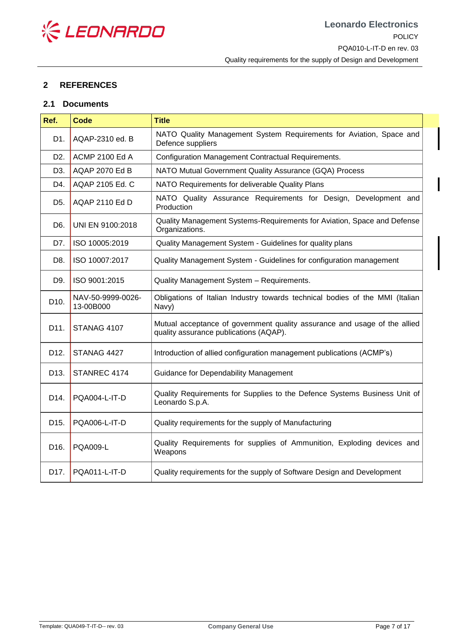

# <span id="page-6-0"></span>**2 REFERENCES**

## <span id="page-6-1"></span>**2.1 Documents**

| Ref.              | <b>Code</b>                    | <b>Title</b>                                                                                                        |
|-------------------|--------------------------------|---------------------------------------------------------------------------------------------------------------------|
| D1.               | AQAP-2310 ed. B                | NATO Quality Management System Requirements for Aviation, Space and<br>Defence suppliers                            |
| D <sub>2</sub> .  | <b>ACMP 2100 Ed A</b>          | Configuration Management Contractual Requirements.                                                                  |
| D <sub>3</sub> .  | AQAP 2070 Ed B                 | NATO Mutual Government Quality Assurance (GQA) Process                                                              |
| D4.               | AQAP 2105 Ed. C                | NATO Requirements for deliverable Quality Plans                                                                     |
| D <sub>5</sub> .  | AQAP 2110 Ed D                 | NATO Quality Assurance Requirements for Design, Development and<br>Production                                       |
| D6.               | UNI EN 9100:2018               | Quality Management Systems-Requirements for Aviation, Space and Defense<br>Organizations.                           |
| D7.               | ISO 10005:2019                 | Quality Management System - Guidelines for quality plans                                                            |
| D8.               | ISO 10007:2017                 | Quality Management System - Guidelines for configuration management                                                 |
| D9.               | ISO 9001:2015                  | Quality Management System - Requirements.                                                                           |
| D10.              | NAV-50-9999-0026-<br>13-00B000 | Obligations of Italian Industry towards technical bodies of the MMI (Italian<br>Navy)                               |
| D11.              | STANAG 4107                    | Mutual acceptance of government quality assurance and usage of the allied<br>quality assurance publications (AQAP). |
| D12.              | STANAG 4427                    | Introduction of allied configuration management publications (ACMP's)                                               |
| D <sub>13</sub> . | STANREC 4174                   | Guidance for Dependability Management                                                                               |
| D14.              | PQA004-L-IT-D                  | Quality Requirements for Supplies to the Defence Systems Business Unit of<br>Leonardo S.p.A.                        |
| D15.              | PQA006-L-IT-D                  | Quality requirements for the supply of Manufacturing                                                                |
| D <sub>16</sub> . | <b>PQA009-L</b>                | Quality Requirements for supplies of Ammunition, Exploding devices and<br>Weapons                                   |
| D17.              | PQA011-L-IT-D                  | Quality requirements for the supply of Software Design and Development                                              |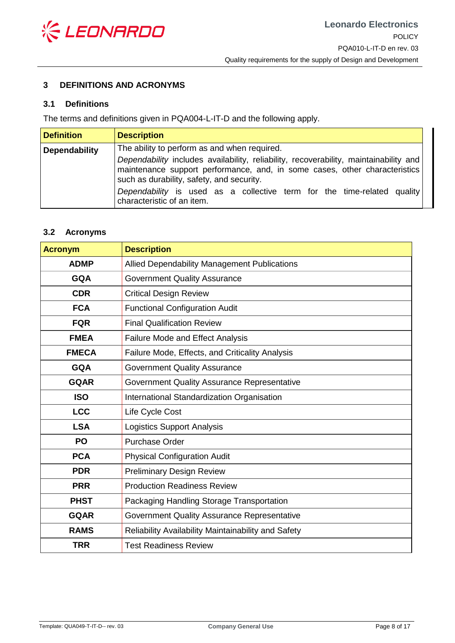

# <span id="page-7-0"></span>**3 DEFINITIONS AND ACRONYMS**

## <span id="page-7-1"></span>**3.1 Definitions**

The terms and definitions given in PQA004-L-IT-D and the following apply.

| <b>Definition</b>    | <b>Description</b>                                                                                                                                                                                                                                                                                                        |
|----------------------|---------------------------------------------------------------------------------------------------------------------------------------------------------------------------------------------------------------------------------------------------------------------------------------------------------------------------|
| <b>Dependability</b> | The ability to perform as and when required.                                                                                                                                                                                                                                                                              |
|                      | Dependability includes availability, reliability, recoverability, maintainability and<br>maintenance support performance, and, in some cases, other characteristics<br>such as durability, safety, and security.<br>Dependability is used as a collective term for the time-related quality<br>characteristic of an item. |

## <span id="page-7-2"></span>**3.2 Acronyms**

| <b>Acronym</b> | <b>Description</b>                                  |
|----------------|-----------------------------------------------------|
| <b>ADMP</b>    | Allied Dependability Management Publications        |
| <b>GQA</b>     | <b>Government Quality Assurance</b>                 |
| <b>CDR</b>     | <b>Critical Design Review</b>                       |
| <b>FCA</b>     | <b>Functional Configuration Audit</b>               |
| <b>FQR</b>     | <b>Final Qualification Review</b>                   |
| <b>FMEA</b>    | Failure Mode and Effect Analysis                    |
| <b>FMECA</b>   | Failure Mode, Effects, and Criticality Analysis     |
| <b>GQA</b>     | <b>Government Quality Assurance</b>                 |
| <b>GQAR</b>    | Government Quality Assurance Representative         |
| <b>ISO</b>     | International Standardization Organisation          |
| <b>LCC</b>     | Life Cycle Cost                                     |
| <b>LSA</b>     | <b>Logistics Support Analysis</b>                   |
| <b>PO</b>      | <b>Purchase Order</b>                               |
| <b>PCA</b>     | <b>Physical Configuration Audit</b>                 |
| <b>PDR</b>     | <b>Preliminary Design Review</b>                    |
| <b>PRR</b>     | <b>Production Readiness Review</b>                  |
| <b>PHST</b>    | Packaging Handling Storage Transportation           |
| <b>GQAR</b>    | <b>Government Quality Assurance Representative</b>  |
| <b>RAMS</b>    | Reliability Availability Maintainability and Safety |
| <b>TRR</b>     | <b>Test Readiness Review</b>                        |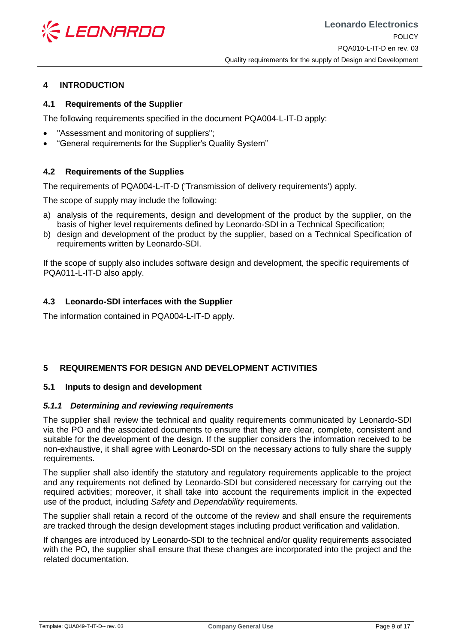

# <span id="page-8-0"></span>**4 INTRODUCTION**

# <span id="page-8-1"></span>**4.1 Requirements of the Supplier**

The following requirements specified in the document PQA004-L-IT-D apply:

- "Assessment and monitoring of suppliers";
- "General requirements for the Supplier's Quality System"

# <span id="page-8-2"></span>**4.2 Requirements of the Supplies**

The requirements of PQA004-L-IT-D ('Transmission of delivery requirements') apply.

The scope of supply may include the following:

- a) analysis of the requirements, design and development of the product by the supplier, on the basis of higher level requirements defined by Leonardo-SDI in a Technical Specification;
- b) design and development of the product by the supplier, based on a Technical Specification of requirements written by Leonardo-SDI.

If the scope of supply also includes software design and development, the specific requirements of PQA011-L-IT-D also apply.

# <span id="page-8-3"></span>**4.3 Leonardo-SDI interfaces with the Supplier**

The information contained in PQA004-L-IT-D apply.

# <span id="page-8-4"></span>**5 REQUIREMENTS FOR DESIGN AND DEVELOPMENT ACTIVITIES**

# <span id="page-8-5"></span>**5.1 Inputs to design and development**

#### <span id="page-8-6"></span>*5.1.1 Determining and reviewing requirements*

The supplier shall review the technical and quality requirements communicated by Leonardo-SDI via the PO and the associated documents to ensure that they are clear, complete, consistent and suitable for the development of the design. If the supplier considers the information received to be non-exhaustive, it shall agree with Leonardo-SDI on the necessary actions to fully share the supply requirements.

The supplier shall also identify the statutory and regulatory requirements applicable to the project and any requirements not defined by Leonardo-SDI but considered necessary for carrying out the required activities; moreover, it shall take into account the requirements implicit in the expected use of the product, including *Safety* and *Dependability* requirements.

The supplier shall retain a record of the outcome of the review and shall ensure the requirements are tracked through the design development stages including product verification and validation.

If changes are introduced by Leonardo-SDI to the technical and/or quality requirements associated with the PO, the supplier shall ensure that these changes are incorporated into the project and the related documentation.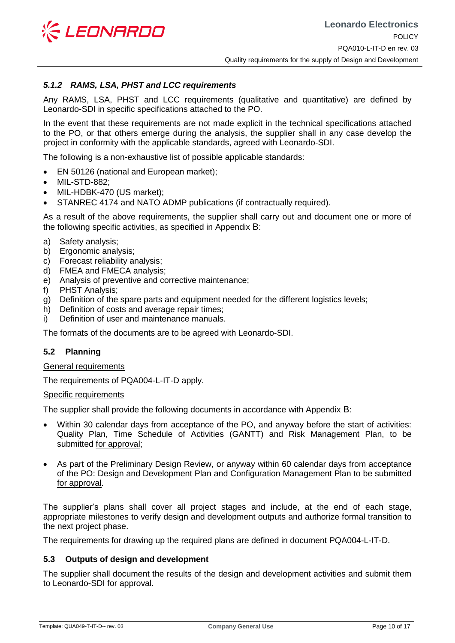

# <span id="page-9-0"></span>*5.1.2 RAMS, LSA, PHST and LCC requirements*

Any RAMS, LSA, PHST and LCC requirements (qualitative and quantitative) are defined by Leonardo-SDI in specific specifications attached to the PO.

In the event that these requirements are not made explicit in the technical specifications attached to the PO, or that others emerge during the analysis, the supplier shall in any case develop the project in conformity with the applicable standards, agreed with Leonardo-SDI.

The following is a non-exhaustive list of possible applicable standards:

- EN 50126 (national and European market);
- MIL-STD-882;
- MIL-HDBK-470 (US market);
- STANREC 4174 and NATO ADMP publications (if contractually required).

As a result of the above requirements, the supplier shall carry out and document one or more of the following specific activities, as specified in Appendix [B](#page-15-2):

- a) Safety analysis;
- b) Ergonomic analysis;
- c) Forecast reliability analysis;
- d) FMEA and FMECA analysis;
- e) Analysis of preventive and corrective maintenance;
- f) PHST Analysis;
- g) Definition of the spare parts and equipment needed for the different logistics levels;
- h) Definition of costs and average repair times;
- i) Definition of user and maintenance manuals.

The formats of the documents are to be agreed with Leonardo-SDI.

#### <span id="page-9-1"></span>**5.2 Planning**

#### General requirements

The requirements of PQA004-L-IT-D apply.

#### Specific requirements

The supplier shall provide the following documents in accordance with Appendix [B](#page-15-2):

- Within 30 calendar days from acceptance of the PO, and anyway before the start of activities: Quality Plan, Time Schedule of Activities (GANTT) and Risk Management Plan, to be submitted for approval;
- As part of the Preliminary Design Review, or anyway within 60 calendar days from acceptance of the PO: Design and Development Plan and Configuration Management Plan to be submitted for approval.

The supplier's plans shall cover all project stages and include, at the end of each stage, appropriate milestones to verify design and development outputs and authorize formal transition to the next project phase.

The requirements for drawing up the required plans are defined in document PQA004-L-IT-D.

#### <span id="page-9-2"></span>**5.3 Outputs of design and development**

The supplier shall document the results of the design and development activities and submit them to Leonardo-SDI for approval.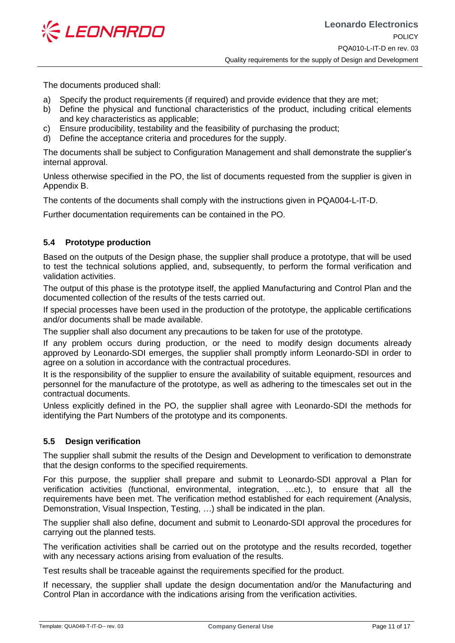

The documents produced shall:

- a) Specify the product requirements (if required) and provide evidence that they are met;
- b) Define the physical and functional characteristics of the product, including critical elements and key characteristics as applicable;
- c) Ensure producibility, testability and the feasibility of purchasing the product;
- d) Define the acceptance criteria and procedures for the supply.

The documents shall be subject to Configuration Management and shall demonstrate the supplier's internal approval.

Unless otherwise specified in the PO, the list of documents requested from the supplier is given in Appendix B.

The contents of the documents shall comply with the instructions given in PQA004-L-IT-D.

Further documentation requirements can be contained in the PO.

# <span id="page-10-0"></span>**5.4 Prototype production**

Based on the outputs of the Design phase, the supplier shall produce a prototype, that will be used to test the technical solutions applied, and, subsequently, to perform the formal verification and validation activities.

The output of this phase is the prototype itself, the applied Manufacturing and Control Plan and the documented collection of the results of the tests carried out.

If special processes have been used in the production of the prototype, the applicable certifications and/or documents shall be made available.

The supplier shall also document any precautions to be taken for use of the prototype.

If any problem occurs during production, or the need to modify design documents already approved by Leonardo-SDI emerges, the supplier shall promptly inform Leonardo-SDI in order to agree on a solution in accordance with the contractual procedures.

It is the responsibility of the supplier to ensure the availability of suitable equipment, resources and personnel for the manufacture of the prototype, as well as adhering to the timescales set out in the contractual documents.

Unless explicitly defined in the PO, the supplier shall agree with Leonardo-SDI the methods for identifying the Part Numbers of the prototype and its components.

# <span id="page-10-1"></span>**5.5 Design verification**

The supplier shall submit the results of the Design and Development to verification to demonstrate that the design conforms to the specified requirements.

For this purpose, the supplier shall prepare and submit to Leonardo-SDI approval a Plan for verification activities (functional, environmental, integration, …etc.), to ensure that all the requirements have been met. The verification method established for each requirement (Analysis, Demonstration, Visual Inspection, Testing, …) shall be indicated in the plan.

The supplier shall also define, document and submit to Leonardo-SDI approval the procedures for carrying out the planned tests.

The verification activities shall be carried out on the prototype and the results recorded, together with any necessary actions arising from evaluation of the results.

Test results shall be traceable against the requirements specified for the product.

If necessary, the supplier shall update the design documentation and/or the Manufacturing and Control Plan in accordance with the indications arising from the verification activities.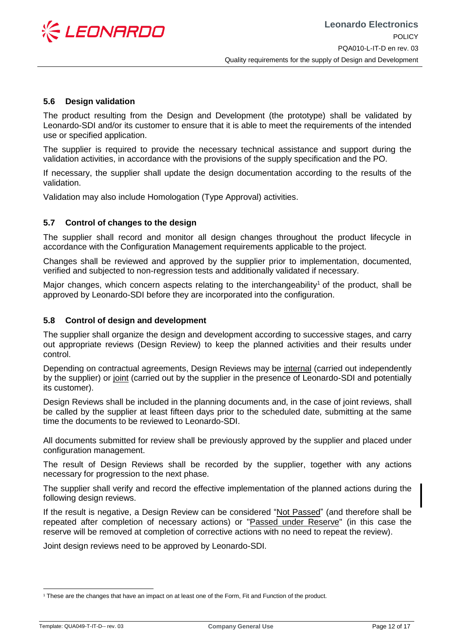

## <span id="page-11-0"></span>**5.6 Design validation**

The product resulting from the Design and Development (the prototype) shall be validated by Leonardo-SDI and/or its customer to ensure that it is able to meet the requirements of the intended use or specified application.

The supplier is required to provide the necessary technical assistance and support during the validation activities, in accordance with the provisions of the supply specification and the PO.

If necessary, the supplier shall update the design documentation according to the results of the validation.

Validation may also include Homologation (Type Approval) activities.

# <span id="page-11-1"></span>**5.7 Control of changes to the design**

The supplier shall record and monitor all design changes throughout the product lifecycle in accordance with the Configuration Management requirements applicable to the project.

Changes shall be reviewed and approved by the supplier prior to implementation, documented, verified and subjected to non-regression tests and additionally validated if necessary.

Major changes, which concern aspects relating to the interchangeability<sup>1</sup> of the product, shall be approved by Leonardo-SDI before they are incorporated into the configuration.

### <span id="page-11-2"></span>**5.8 Control of design and development**

The supplier shall organize the design and development according to successive stages, and carry out appropriate reviews (Design Review) to keep the planned activities and their results under control.

Depending on contractual agreements, Design Reviews may be internal (carried out independently by the supplier) or joint (carried out by the supplier in the presence of Leonardo-SDI and potentially its customer).

Design Reviews shall be included in the planning documents and, in the case of joint reviews, shall be called by the supplier at least fifteen days prior to the scheduled date, submitting at the same time the documents to be reviewed to Leonardo-SDI.

All documents submitted for review shall be previously approved by the supplier and placed under configuration management.

The result of Design Reviews shall be recorded by the supplier, together with any actions necessary for progression to the next phase.

The supplier shall verify and record the effective implementation of the planned actions during the following design reviews.

If the result is negative, a Design Review can be considered "Not Passed" (and therefore shall be repeated after completion of necessary actions) or "Passed under Reserve" (in this case the reserve will be removed at completion of corrective actions with no need to repeat the review).

Joint design reviews need to be approved by Leonardo-SDI.

<sup>-</sup><sup>1</sup> These are the changes that have an impact on at least one of the Form, Fit and Function of the product.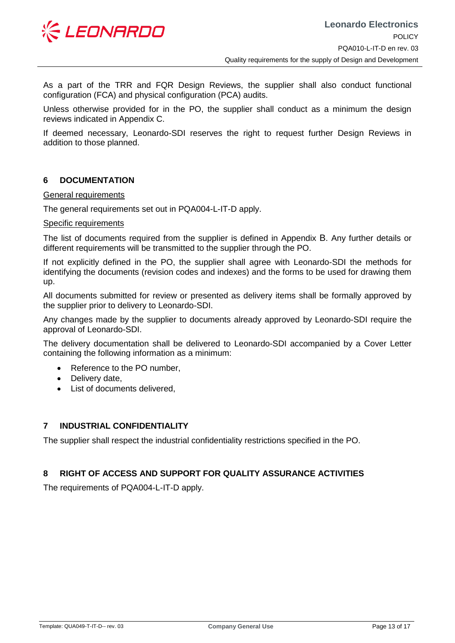

As a part of the TRR and FQR Design Reviews, the supplier shall also conduct functional configuration (FCA) and physical configuration (PCA) audits.

Unless otherwise provided for in the PO, the supplier shall conduct as a minimum the design reviews indicated in Appendix [C.](#page-16-1)

If deemed necessary, Leonardo-SDI reserves the right to request further Design Reviews in addition to those planned.

# <span id="page-12-0"></span>**6 DOCUMENTATION**

#### General requirements

The general requirements set out in PQA004-L-IT-D apply.

#### Specific requirements

The list of documents required from the supplier is defined in Appendix [B](#page-15-2). Any further details or different requirements will be transmitted to the supplier through the PO.

If not explicitly defined in the PO, the supplier shall agree with Leonardo-SDI the methods for identifying the documents (revision codes and indexes) and the forms to be used for drawing them up.

All documents submitted for review or presented as delivery items shall be formally approved by the supplier prior to delivery to Leonardo-SDI.

Any changes made by the supplier to documents already approved by Leonardo-SDI require the approval of Leonardo-SDI.

The delivery documentation shall be delivered to Leonardo-SDI accompanied by a Cover Letter containing the following information as a minimum:

- Reference to the PO number,
- Delivery date,
- List of documents delivered,

# <span id="page-12-1"></span>**7 INDUSTRIAL CONFIDENTIALITY**

The supplier shall respect the industrial confidentiality restrictions specified in the PO.

# <span id="page-12-2"></span>**8 RIGHT OF ACCESS AND SUPPORT FOR QUALITY ASSURANCE ACTIVITIES**

The requirements of PQA004-L-IT-D apply.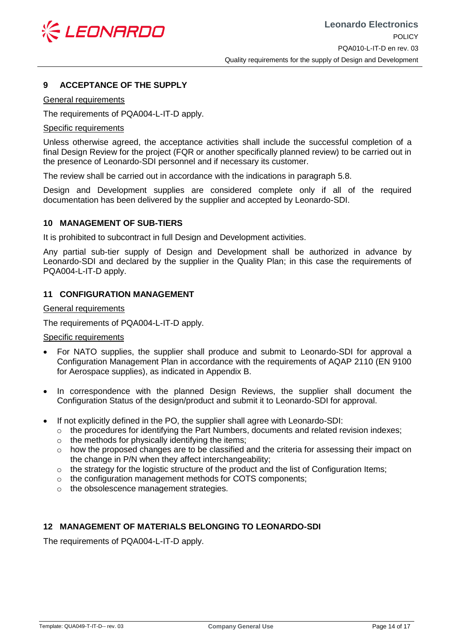

# <span id="page-13-0"></span>**9 ACCEPTANCE OF THE SUPPLY**

#### General requirements

The requirements of PQA004-L-IT-D apply.

#### Specific requirements

Unless otherwise agreed, the acceptance activities shall include the successful completion of a final Design Review for the project (FQR or another specifically planned review) to be carried out in the presence of Leonardo-SDI personnel and if necessary its customer.

The review shall be carried out in accordance with the indications in paragraph [5.8.](#page-11-2)

Design and Development supplies are considered complete only if all of the required documentation has been delivered by the supplier and accepted by Leonardo-SDI.

## <span id="page-13-1"></span>**10 MANAGEMENT OF SUB-TIERS**

It is prohibited to subcontract in full Design and Development activities.

Any partial sub-tier supply of Design and Development shall be authorized in advance by Leonardo-SDI and declared by the supplier in the Quality Plan; in this case the requirements of PQA004-L-IT-D apply.

## <span id="page-13-2"></span>**11 CONFIGURATION MANAGEMENT**

General requirements

The requirements of PQA004-L-IT-D apply.

#### Specific requirements

- For NATO supplies, the supplier shall produce and submit to Leonardo-SDI for approval a Configuration Management Plan in accordance with the requirements of AQAP 2110 (EN 9100 for Aerospace supplies), as indicated in Appendix [B.](#page-15-2)
- In correspondence with the planned Design Reviews, the supplier shall document the Configuration Status of the design/product and submit it to Leonardo-SDI for approval.
- If not explicitly defined in the PO, the supplier shall agree with Leonardo-SDI:
	- $\circ$  the procedures for identifying the Part Numbers, documents and related revision indexes;
	- o the methods for physically identifying the items;
	- $\circ$  how the proposed changes are to be classified and the criteria for assessing their impact on the change in P/N when they affect interchangeability;
	- $\circ$  the strategy for the logistic structure of the product and the list of Configuration Items;
	- o the configuration management methods for COTS components;
	- o the obsolescence management strategies.

# <span id="page-13-3"></span>**12 MANAGEMENT OF MATERIALS BELONGING TO LEONARDO-SDI**

The requirements of PQA004-L-IT-D apply.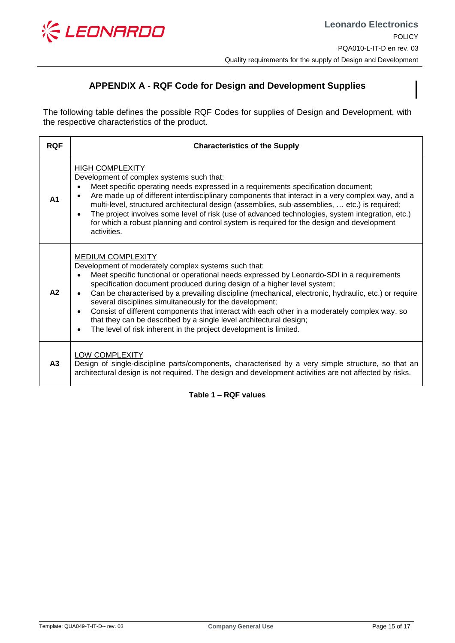

# <span id="page-14-2"></span>**APPENDIX A - RQF Code for Design and Development Supplies**

<span id="page-14-1"></span>The following table defines the possible RQF Codes for supplies of Design and Development, with the respective characteristics of the product.

| <b>RQF</b>     | <b>Characteristics of the Supply</b>                                                                                                                                                                                                                                                                                                                                                                                                                                                                                                                                                                                                                                                                                        |
|----------------|-----------------------------------------------------------------------------------------------------------------------------------------------------------------------------------------------------------------------------------------------------------------------------------------------------------------------------------------------------------------------------------------------------------------------------------------------------------------------------------------------------------------------------------------------------------------------------------------------------------------------------------------------------------------------------------------------------------------------------|
| A <sub>1</sub> | <b>HIGH COMPLEXITY</b><br>Development of complex systems such that:<br>Meet specific operating needs expressed in a requirements specification document;<br>$\bullet$<br>Are made up of different interdisciplinary components that interact in a very complex way, and a<br>$\bullet$<br>multi-level, structured architectural design (assemblies, sub-assemblies,  etc.) is required;<br>The project involves some level of risk (use of advanced technologies, system integration, etc.)<br>$\bullet$<br>for which a robust planning and control system is required for the design and development<br>activities.                                                                                                        |
| A2             | <b>MEDIUM COMPLEXITY</b><br>Development of moderately complex systems such that:<br>Meet specific functional or operational needs expressed by Leonardo-SDI in a requirements<br>$\bullet$<br>specification document produced during design of a higher level system;<br>Can be characterised by a prevailing discipline (mechanical, electronic, hydraulic, etc.) or require<br>$\bullet$<br>several disciplines simultaneously for the development;<br>Consist of different components that interact with each other in a moderately complex way, so<br>$\bullet$<br>that they can be described by a single level architectural design;<br>The level of risk inherent in the project development is limited.<br>$\bullet$ |
| A3             | <b>LOW COMPLEXITY</b><br>Design of single-discipline parts/components, characterised by a very simple structure, so that an<br>architectural design is not required. The design and development activities are not affected by risks.                                                                                                                                                                                                                                                                                                                                                                                                                                                                                       |

<span id="page-14-0"></span>**Table 1 – RQF values**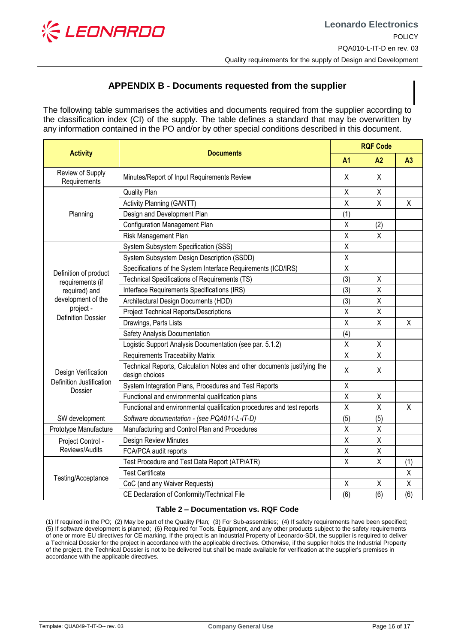

# <span id="page-15-2"></span>**APPENDIX B - Documents requested from the supplier**

<span id="page-15-1"></span>The following table summarises the activities and documents required from the supplier according to the classification index (CI) of the supply. The table defines a standard that may be overwritten by any information contained in the PO and/or by other special conditions described in this document.

| <b>Activity</b>                                                                                                            | <b>Documents</b>                                                                          | <b>RQF Code</b>         |                |                |
|----------------------------------------------------------------------------------------------------------------------------|-------------------------------------------------------------------------------------------|-------------------------|----------------|----------------|
|                                                                                                                            |                                                                                           | A <sub>1</sub>          | A2             | A <sub>3</sub> |
| Review of Supply<br>Requirements                                                                                           | Minutes/Report of Input Requirements Review                                               | X                       | X              |                |
| Planning                                                                                                                   | <b>Quality Plan</b>                                                                       | X                       | X              |                |
|                                                                                                                            | Activity Planning (GANTT)                                                                 | X                       | $\overline{X}$ | $\sf X$        |
|                                                                                                                            | Design and Development Plan                                                               | (1)                     |                |                |
|                                                                                                                            | <b>Configuration Management Plan</b>                                                      | X                       | (2)            |                |
|                                                                                                                            | Risk Management Plan                                                                      | X                       | $\sf X$        |                |
| Definition of product<br>requirements (if<br>required) and<br>development of the<br>project -<br><b>Definition Dossier</b> | System Subsystem Specification (SSS)                                                      | $\overline{\mathsf{x}}$ |                |                |
|                                                                                                                            | System Subsystem Design Description (SSDD)                                                | Χ                       |                |                |
|                                                                                                                            | Specifications of the System Interface Requirements (ICD/IRS)                             | X                       |                |                |
|                                                                                                                            | Technical Specifications of Requirements (TS)                                             | (3)                     | Χ              |                |
|                                                                                                                            | Interface Requirements Specifications (IRS)                                               | (3)                     | $\sf X$        |                |
|                                                                                                                            | Architectural Design Documents (HDD)                                                      | (3)                     | X              |                |
|                                                                                                                            | <b>Project Technical Reports/Descriptions</b>                                             | Χ                       | X              |                |
|                                                                                                                            | Drawings, Parts Lists                                                                     | X                       | X              | X              |
|                                                                                                                            | Safety Analysis Documentation                                                             | (4)                     |                |                |
|                                                                                                                            | Logistic Support Analysis Documentation (see par. 5.1.2)                                  | X                       | X              |                |
| Design Verification<br>Definition Justification<br>Dossier                                                                 | <b>Requirements Traceability Matrix</b>                                                   | $\sf X$                 | X              |                |
|                                                                                                                            | Technical Reports, Calculation Notes and other documents justifying the<br>design choices | X                       | X              |                |
|                                                                                                                            | System Integration Plans, Procedures and Test Reports                                     | X                       |                |                |
|                                                                                                                            | Functional and environmental qualification plans                                          | X                       | X              |                |
|                                                                                                                            | Functional and environmental qualification procedures and test reports                    | X                       | X              | X              |
| SW development                                                                                                             | Software documentation - (see PQA011-L-IT-D)                                              | (5)                     | (5)            |                |
| Prototype Manufacture                                                                                                      | Manufacturing and Control Plan and Procedures                                             | X                       | X              |                |
| Project Control -<br>Reviews/Audits                                                                                        | Design Review Minutes                                                                     | Χ                       | X              |                |
|                                                                                                                            | FCA/PCA audit reports                                                                     | X                       | Χ              |                |
| Testing/Acceptance                                                                                                         | Test Procedure and Test Data Report (ATP/ATR)                                             | X                       | X              | (1)            |
|                                                                                                                            | <b>Test Certificate</b>                                                                   |                         |                | X              |
|                                                                                                                            | CoC (and any Waiver Requests)                                                             | X                       | X              | X              |
|                                                                                                                            | CE Declaration of Conformity/Technical File                                               | (6)                     | (6)            | (6)            |

#### **Table 2 – Documentation vs. RQF Code**

<span id="page-15-0"></span>(1) If required in the PO; (2) May be part of the Quality Plan; (3) For Sub-assemblies; (4) If safety requirements have been specified; (5) If software development is planned; (6) Required for Tools, Equipment, and any other products subject to the safety requirements of one or more EU directives for CE marking. If the project is an Industrial Property of Leonardo-SDI, the supplier is required to deliver a Technical Dossier for the project in accordance with the applicable directives. Otherwise, if the supplier holds the Industrial Property of the project, the Technical Dossier is not to be delivered but shall be made available for verification at the supplier's premises in accordance with the applicable directives.